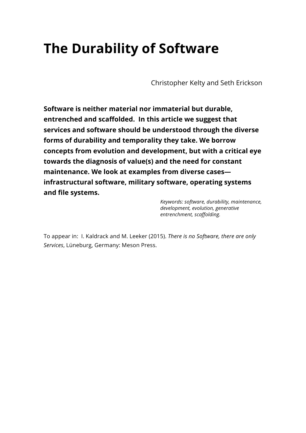# **The Durability of Software**

Christopher Kelty and Seth Erickson

**Software is neither material nor immaterial but durable, entrenched and scaffolded. In this article we suggest that services and software should be understood through the diverse forms of durability and temporality they take. We borrow concepts from evolution and development, but with a critical eye towards the diagnosis of value(s) and the need for constant maintenance. We look at examples from diverse cases infrastructural software, military software, operating systems and file systems.**

> *Keywords: software, durability, maintenance, development, evolution, generative entrenchment, scaffolding.*

To appear in: I. Kaldrack and M. Leeker (2015). *There is no Software, there are only Services*, Lüneburg, Germany: Meson Press.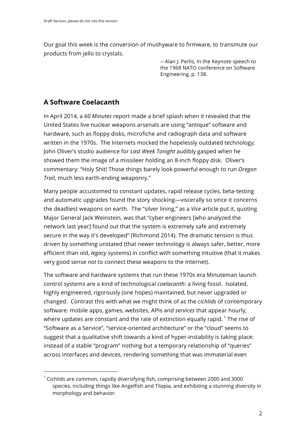Our goal this week is the conversion of mushyware to firmware, to transmute our products from jello to crystals.

> -- Alan J. Perlis, In the Keynote speech to the 1968 NATO conference on Software Engineering, p. 138.

### **A Software Coelacanth**

In April 2014, a *60 Minutes* report made a brief splash when it revealed that the United States live nuclear weapons arsenals are using "antique" software and hardware, such as floppy disks, microfiche and radiograph data and software written in the 1970s. The Internets mocked the hopelessly outdated technology; John Oliver's studio audience for *Last Week Tonight* audibly gasped when he showed them the image of a missileer holding an 8-inch floppy disk. Oliver's commentary: "Holy Shit! Those things barely look powerful enough to run *Oregon Trail*, much less earth-ending weaponry."

Many people accustomed to constant updates, rapid release cycles, beta-testing and automatic upgrades found the story shocking—viscerally so since it concerns the deadliest weapons on earth. The "silver lining," as a *Vice* article put it, quoting Major General Jack Weinstein, was that "cyber engineers [who analyzed the network last year] found out that the system is extremely safe and extremely secure in the way it's developed" (Richmond 2014). The dramatic tension is thus driven by something unstated (that newer technology is always safer, better, more efficient than old, *legacy* systems) in conflict with something intuitive (that it makes very good sense *not* to connect these weapons to the Internet).

The software and hardware systems that run these 1970s era Minuteman launch control systems are a kind of technological *coelacanth*: a living fossil. Isolated, highly engineered, rigorously (one hopes) maintained, but never upgraded or changed. Contrast this with what we might think of as the *cichlids* of contemporary software: mobile apps, games, websites, APIs and *services* that appear hourly, where updates are constant and the rate of extinction equally rapid.<sup>1</sup> The rise of "Software as a Service", "service-oriented architecture" or the "cloud" seems to suggest that a qualitative shift towards a kind of hyper-instability is taking place: instead of a stable "program" nothing but a temporary relationship of "queries" across interfaces and devices, rendering something that was immaterial even

 $1$  Cichlids are common, rapidly diversifying fish, comprising between 2000 and 3000 species, including things like Angelfish and Tilapia, and exhibiting a stunning diversity in morphology and behavior.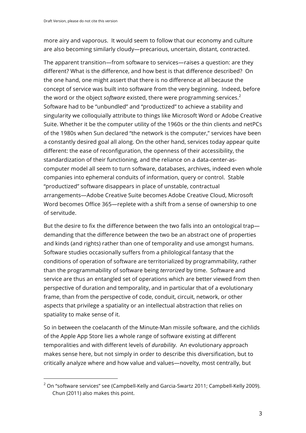more airy and vaporous. It would seem to follow that our economy and culture are also becoming similarly cloudy—precarious, uncertain, distant, contracted.

The apparent transition—from software to services—raises a question: are they different? What is the difference, and how best is that difference described? On the one hand, one might assert that there is no difference at all because the concept of service was built into software from the very beginning. Indeed, before the word or the object *software* existed, there were programming services. 2 Software had to be "unbundled" and "productized" to achieve a stability and singularity we colloquially attribute to things like Microsoft Word or Adobe Creative Suite. Whether it be the computer utility of the 1960s or the thin clients and netPCs of the 1980s when Sun declared "the network is the computer," services have been a constantly desired goal all along. On the other hand, services today appear quite different: the ease of reconfiguration, the openness of their accessibility, the standardization of their functioning, and the reliance on a data-center-ascomputer model all seem to turn software, databases, archives, indeed even whole companies into ephemeral conduits of information, query or control. Stable "productized" software disappears in place of unstable, contractual arrangements—Adobe Creative Suite becomes Adobe Creative Cloud, Microsoft Word becomes Office 365—replete with a shift from a sense of ownership to one of servitude.

But the desire to fix the difference between the two falls into an ontological trap demanding that the difference between the two be an abstract one of properties and kinds (and rights) rather than one of temporality and use amongst humans. Software studies occasionally suffers from a philological fantasy that the conditions of operation of software are territorialized by programmability, rather than the programmability of software being *terrorized* by time. Software and service are thus an entangled set of operations which are better viewed from then perspective of duration and temporality, and in particular that of a evolutionary frame, than from the perspective of code, conduit, circuit, network, or other aspects that privilege a spatiality or an intellectual abstraction that relies on spatiality to make sense of it.

So in between the coelacanth of the Minute-Man missile software, and the cichlids of the Apple App Store lies a whole range of software existing at different temporalities and with different levels of *durability.* An evolutionary approach makes sense here, but not simply in order to describe this diversification, but to critically analyze where and how value and values—novelty, most centrally, but

 $2$  On "software services" see (Campbell-Kelly and Garcia-Swartz 2011; Campbell-Kelly 2009). Chun (2011) also makes this point.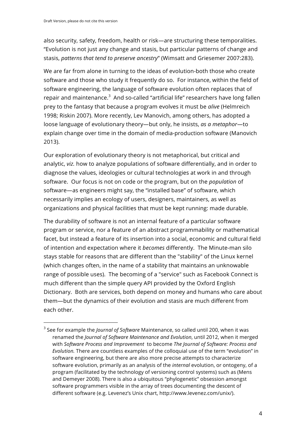also security, safety, freedom, health or risk—are structuring these temporalities. "Evolution is not just any change and stasis, but particular patterns of change and stasis, *patterns that tend to preserve ancestry*" (Wimsatt and Griesemer 2007:283).

We are far from alone in turning to the ideas of evolution-both those who create software and those who study it frequently do so. For instance, within the field of software engineering, the language of software evolution often replaces that of repair and maintenance. $^3$  And so-called "artificial life" researchers have long fallen prey to the fantasy that because a program evolves it must be *alive* (Helmreich 1998; Riskin 2007). More recently, Lev Manovich, among others, has adopted a loose language of evolutionary theory—but only, he insists, *as a metaphor*—to explain change over time in the domain of media-production software (Manovich 2013).

Our exploration of evolutionary theory is not metaphorical, but critical and analytic, *viz.* how to analyze populations of software differentially, and in order to diagnose the values, ideologies or cultural technologies at work in and through software. Our focus is not on code or the program, but on the *population* of software—as engineers might say, the "installed base" of software, which necessarily implies an ecology of users, designers, maintainers, as well as organizations and physical facilities that must be kept running: made durable.

The durability of software is not an internal feature of a particular software program or service, nor a feature of an abstract programmability or mathematical facet, but instead a feature of its insertion into a social, economic and cultural field of intention and expectation where it *becomes* differently. The Minute-man silo stays stable for reasons that are different than the "stability" of the Linux kernel (which changes often, in the name of a stability that maintains an unknowable range of possible uses). The becoming of a "service" such as Facebook Connect is much different than the simple query API provided by the Oxford English Dictionary. Both are services, both depend on money and humans who care about them—but the dynamics of their evolution and stasis are much different from each other.

 <sup>3</sup> See for example the *Journal of Software* Maintenance, so called until 200, when it was renamed the *Journal of Software Maintenance and Evolution*, until 2012, when it merged with *Software Process and Improvement* to become *The Journal of Software: Process and Evolution.* There are countless examples of the colloquial use of the term "evolution" in software engineering, but there are also more precise attempts to characterize software evolution, primarily as an analysis of the *internal* evolution, or ontogeny, of a program (facilitated by the technology of versioning control systems) such as (Mens and Demeyer 2008). There is also a ubiquitous "phylogenetic" obsession amongst software programmers visible in the array of trees documenting the descent of different software (e.g. Levenez's Unix chart, http://www.levenez.com/unix/).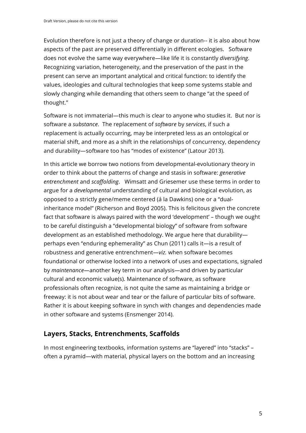Evolution therefore is not just a theory of change or duration-- it is also about how aspects of the past are preserved differentially in different ecologies. Software does not evolve the same way everywhere—like life it is constantly *diversifying*. Recognizing variation, heterogeneity, and the preservation of the past in the present can serve an important analytical and critical function: to identify the values, ideologies and cultural technologies that keep some systems stable and slowly changing while demanding that others seem to change "at the speed of thought."

Software is not immaterial—this much is clear to anyone who studies it. But nor is software a *substance*. The replacement of *software* by *services*, if such a replacement is actually occurring, may be interpreted less as an ontological or material shift, and more as a shift in the relationships of concurrency, dependency and durability—software too has "modes of existence" (Latour 2013).

In this article we borrow two notions from developmental-evolutionary theory in order to think about the patterns of change and stasis in software: *generative entrenchment* and *scaffolding*. Wimsatt and Griesemer use these terms in order to argue for a *developmental* understanding of cultural and biological evolution, as opposed to a strictly gene/meme centered (á la Dawkins) one or a "dualinheritance model" (Richerson and Boyd 2005). This is felicitous given the concrete fact that software is always paired with the word 'development' – though we ought to be careful distinguish a "developmental biology" of software from software development as an established methodology. We argue here that durability perhaps even "enduring ephemerality" as Chun (2011) calls it—is a result of robustness and generative entrenchment—*viz.* when software becomes foundational or otherwise locked into a network of uses and expectations, signaled by *maintenance—*another key term in our analysis—and driven by particular cultural and economic value(s). Maintenance of software, as software professionals often recognize, is not quite the same as maintaining a bridge or freeway: it is not about wear and tear or the failure of particular bits of software. Rather it is about keeping software in synch with changes and dependencies made in other software and systems (Ensmenger 2014).

#### **Layers, Stacks, Entrenchments, Scaffolds**

In most engineering textbooks, information systems are "layered" into "stacks" – often a pyramid—with material, physical layers on the bottom and an increasing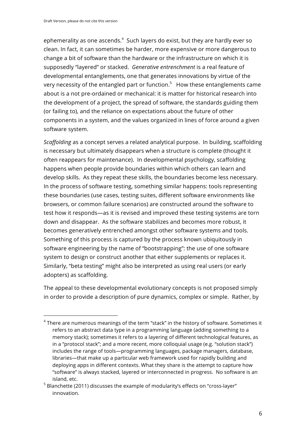ephemerality as one ascends. $4$  Such layers do exist, but they are hardly ever so clean. In fact, it can sometimes be harder, more expensive or more dangerous to change a bit of software than the hardware or the infrastructure on which it is supposedly "layered" or stacked. *Generative entrenchment* is a real feature of developmental entanglements, one that generates innovations by virtue of the very necessity of the entangled part or function. $^5$   $\,$  How these entanglements came  $\,$ about is a not pre-ordained or mechanical: it is matter for historical research into the development of a project, the spread of software, the standards guiding them (or failing to), and the reliance on expectations about the future of other components in a system, and the values organized in lines of force around a given software system.

*Scaffolding* as a concept serves a related analytical purpose. In building, scaffolding is necessary but ultimately disappears when a structure is complete (thought it often reappears for maintenance). In developmental psychology, scaffolding happens when people provide boundaries within which others can learn and develop skills. As they repeat these skills, the boundaries become less necessary. In the process of software testing, something similar happens: tools representing these boundaries (use cases, testing suites, different software environments like browsers, or common failure scenarios) are constructed around the software to test how it responds—as it is revised and improved these testing systems are torn down and disappear. As the software stabilizes and becomes more robust, it becomes generatively entrenched amongst other software systems and tools. Something of this process is captured by the process known ubiquitously in software engineering by the name of "bootstrapping": the use of one software system to design or construct another that either supplements or replaces it. Similarly, "beta testing" might also be interpreted as using real users (or early adopters) as scaffolding.

The appeal to these developmental evolutionary concepts is not proposed simply in order to provide a description of pure dynamics, complex or simple. Rather, by

 $^4$  There are numerous meanings of the term "stack" in the history of software. Sometimes it refers to an abstract data type in a programming language (adding something to a memory stack); sometimes it refers to a layering of different technological features, as in a "protocol stack"; and a more recent, more colloquial usage (e.g. "solution stack") includes the range of tools—programming languages, package managers, database, libraries—that make up a particular web framework used for rapidly building and deploying apps in different contexts. What they share is the attempt to capture how "software" is always stacked, layered or interconnected in progress. No software is an island, etc.

<sup>5</sup> Blanchette (2011) discusses the example of modularity's effects on "cross-layer" innovation.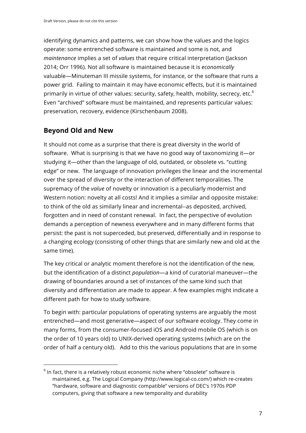identifying dynamics and patterns, we can show how the values and the logics operate: some entrenched software is maintained and some is not, and *maintenance* implies a set of *values* that require critical interpretation (Jackson 2014; Orr 1996). Not all software is maintained because it is *economically*  valuable—Minuteman III missile systems, for instance, or the software that runs a power grid. Failing to maintain it may have economic effects, but it is maintained primarily in virtue of other values: security, safety, health, mobility, secrecy, etc. $^6$ Even "archived" software must be maintained, and represents particular values: preservation, recovery, evidence (Kirschenbaum 2008).

### **Beyond Old and New**

It should not come as a surprise that there is great diversity in the world of software. What is surprising is that we have no good way of taxonomizing it—or studying it—other than the language of old, outdated, or obsolete vs. "cutting edge" or new. The language of innovation privileges the linear and the incremental over the spread of diversity or the interaction of different temporalities. The supremacy of the *value* of novelty or innovation is a peculiarly modernist and Western notion: novelty at all costs! And it implies a similar and opposite mistake: to think of the old as similarly linear and incremental--as deposited, archived, forgotten and in need of constant renewal. In fact, the perspective of evolution demands a perception of newness everywhere and in many different forms that persist: the past is not superceded, but preserved, differentially and in response to a changing ecology (consisting of other things that are similarly new and old at the same time).

The key critical or analytic moment therefore is not the identification of the new, but the identification of a distinct *population*—a kind of curatorial maneuver—the drawing of boundaries around a set of instances of the same kind such that diversity and differentiation are made to appear. A few examples might indicate a different path for how to study software.

To begin with: particular populations of operating systems are arguably the most entrenched—and most generative—aspect of our software ecology. They come in many forms, from the consumer-focused iOS and Android mobile OS (which is on the order of 10 years old) to UNIX-derived operating systems (which are on the order of half a century old). Add to this the various populations that are in some

 $^6$  In fact, there is a relatively robust economic niche where "obsolete" software is maintained, e.g. The Logical Company (http://www.logical-co.com/) which re-creates "hardware, software and diagnostic compatible" versions of DEC's 1970s PDP computers, giving that software a new temporality and durability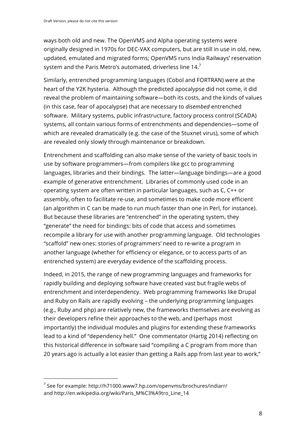ways both old and new. The OpenVMS and Alpha operating systems were originally designed in 1970s for DEC-VAX computers, but are still in use in old, new, updated, emulated and migrated forms; OpenVMS runs India Railways' reservation system and the Paris Metro's automated, driverless line  $14<sup>7</sup>$ 

Similarly, entrenched programming languages (Cobol and FORTRAN) were at the heart of the Y2K hysteria. Although the predicted apocalypse did not come, it did reveal the problem of maintaining software—both its costs, and the kinds of values (in this case, fear of apocalypse) that are necessary to *disembed* entrenched software. Military systems, public infrastructure, factory process control (SCADA) systems, all contain various forms of entrenchments and dependencies—some of which are revealed dramatically (e.g. the case of the Stuxnet virus), some of which are revealed only slowly through maintenance or breakdown.

Entrenchment and scaffolding can also make sense of the variety of basic tools in use by software programmers—from compilers like gcc to programming languages, libraries and their bindings. The latter—language bindings—are a good example of generative entrenchment. Libraries of commonly used code in an operating system are often written in particular languages, such as C, C++ or assembly, often to facilitate re-use, and sometimes to make code more efficient (an algorithm in C can be made to run much faster than one in Perl, for instance). But because these libraries are "entrenched" in the operating system, they "generate" the need for bindings: bits of code that access and sometimes recompile a library for use with another programming language. Old technologies "scaffold" new ones: stories of programmers' need to re-write a program in another language (whether for efficiency or elegance, or to access parts of an entrenched system) are everyday evidence of the scaffolding process.

Indeed, in 2015, the range of new programming languages and frameworks for rapidly building and deploying software have created vast but fragile webs of entrenchment and interdependency. Web programming frameworks like Drupal and Ruby on Rails are rapidly evolving – the underlying programming languages (e.g., Ruby and php) are relatively new, the frameworks themselves are evolving as their developers refine their approaches to the web, and (perhaps most importantly) the individual modules and plugins for extending these frameworks lead to a kind of "dependency hell." One commentator (Hartig 2014) reflecting on this historical difference in software said "compiling a C program from more than 20 years ago is actually a lot easier than getting a Rails app from last year to work,"

 $7$  See for example: http://h71000.www7.hp.com/openyms/brochures/indiarr/ and http://en.wikipedia.org/wiki/Paris\_M%C3%A9tro\_Line\_14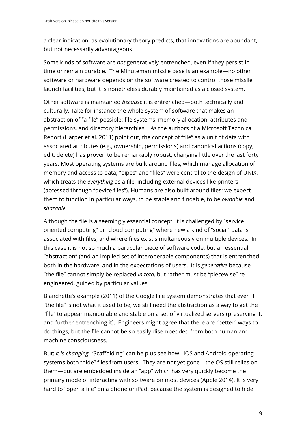a clear indication, as evolutionary theory predicts, that innovations are abundant, but not necessarily advantageous.

Some kinds of software are *not* generatively entrenched, even if they persist in time or remain durable. The Minuteman missile base is an example—no other software or hardware depends on the software created to control those missile launch facilities, but it is nonetheless durably maintained as a closed system.

Other software is maintained *because* it is entrenched—both technically and culturally. Take for instance the whole system of software that makes an abstraction of "a file" possible: file systems, memory allocation, attributes and permissions, and directory hierarchies. As the authors of a Microsoft Technical Report (Harper et al. 2011) point out, the concept of "file" as a unit of data with associated attributes (e.g., ownership, permissions) and canonical actions (copy, edit, delete) has proven to be remarkably robust, changing little over the last forty years. Most operating systems are built around files, which manage allocation of memory and access to data; "pipes" and "files" were central to the design of UNIX, which treats the *everything* as a file, including external devices like printers (accessed through "device files"). Humans are also built around files: we expect them to function in particular ways, to be stable and findable, to be *ownable* and *sharable.* 

Although the file is a seemingly essential concept, it is challenged by "service oriented computing" or "cloud computing" where new a kind of "social" data is associated with files, and where files exist simultaneously on multiple devices. In this case it is not so much a particular piece of software code, but an essential "abstraction" (and an implied set of interoperable components) that is entrenched both in the hardware, and in the expectations of users. It is *generative* because "the file" cannot simply be replaced *in toto,* but rather must be "piecewise" reengineered, guided by particular values.

Blanchette's example (2011) of the Google File System demonstrates that even if "the file" is not what it used to be, we still need the abstraction as a way to get the "file" to appear manipulable and stable on a set of virtualized servers (preserving it, and further entrenching it). Engineers might agree that there are "better" ways to do things, but the file cannot be so easily disembedded from both human and machine consciousness.

But: *it is changing*. "Scaffolding" can help us see how. iOS and Android operating systems both "hide" files from users. They are not yet gone—the OS still relies on them—but are embedded inside an "app" which has very quickly become the primary mode of interacting with software on most devices (Apple 2014). It is very hard to "open a file" on a phone or iPad, because the system is designed to hide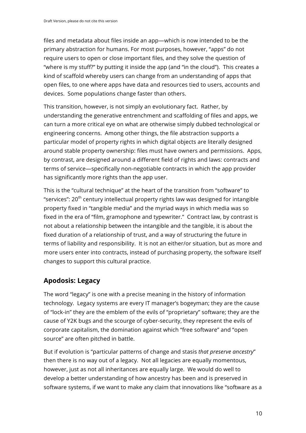files and metadata about files inside an app—which is now intended to be the primary abstraction for humans. For most purposes, however, "apps" do not require users to open or close important files, and they solve the question of "where is my stuff?" by putting it inside the app (and "in the cloud"). This creates a kind of scaffold whereby users can change from an understanding of apps that open files, to one where apps have data and resources tied to users, accounts and devices. Some populations change faster than others.

This transition, however, is not simply an evolutionary fact. Rather, by understanding the generative entrenchment and scaffolding of files and apps, we can turn a more critical eye on what are otherwise simply dubbed technological or engineering concerns. Among other things, the file abstraction supports a particular model of property rights in which digital objects are literally designed around stable property ownership: files must have owners and permissions. Apps, by contrast, are designed around a different field of rights and laws: contracts and terms of service—specifically non-negotiable contracts in which the app provider has significantly more rights than the app user.

This is the "cultural technique" at the heart of the transition from "software" to "services": 20<sup>th</sup> century intellectual property rights law was designed for intangible property fixed in "tangible media" and the myriad ways in which media was so fixed in the era of "film, gramophone and typewriter." Contract law, by contrast is not about a relationship between the intangible and the tangible, it is about the fixed duration of a relationship of trust, and a way of structuring the future in terms of liability and responsibility. It is not an either/or situation, but as more and more users enter into contracts, instead of purchasing property, the software itself changes to support this cultural practice.

#### **Apodosis: Legacy**

The word "legacy" is one with a precise meaning in the history of information technology. Legacy systems are every IT manager's bogeyman; they are the cause of "lock-in" they are the emblem of the evils of "proprietary" software; they are the cause of Y2K bugs and the scourge of cyber-security, they represent the evils of corporate capitalism, the domination against which "free software" and "open source" are often pitched in battle.

But if evolution is "particular patterns of change and stasis *that preserve ancestry*" then there is no way out of a legacy. Not all legacies are equally momentous, however, just as not all inheritances are equally large. We would do well to develop a better understanding of how ancestry has been and is preserved in software systems, if we want to make any claim that innovations like "software as a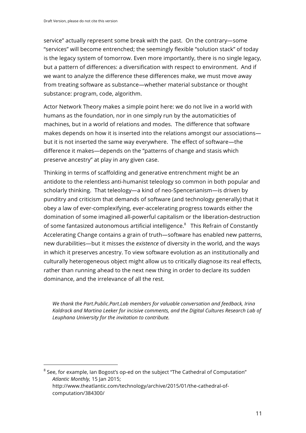service" actually represent some break with the past. On the contrary—some "services" will become entrenched; the seemingly flexible "solution stack" of today is the legacy system of tomorrow. Even more importantly, there is no single legacy, but a pattern of differences: a diversification with respect to environment. And if we want to analyze the difference these differences make, we must move away from treating software as substance—whether material substance or thought substance: program, code, algorithm.

Actor Network Theory makes a simple point here: we do not live in a world with humans as the foundation, nor in one simply run by the automaticities of machines, but in a world of relations and modes. The difference that software makes depends on how it is inserted into the relations amongst our associations but it is not inserted the same way everywhere. The effect of software—the difference it makes—depends on the "patterns of change and stasis which preserve ancestry" at play in any given case.

Thinking in terms of scaffolding and generative entrenchment might be an antidote to the relentless anti-humanist teleology so common in both popular and scholarly thinking. That teleology—a kind of neo-Spencerianism—is driven by punditry and criticism that demands of software (and technology generally) that it obey a law of ever-complexifying, ever-accelerating progress towards either the domination of some imagined all-powerful capitalism or the liberation-destruction of some fantasized autonomous artificial intelligence.<sup>8</sup> This Refrain of Constantly Accelerating Change contains a grain of truth—software has enabled new patterns, new durabilities—but it misses the *existence* of diversity in the world, and the ways in which it preserves ancestry. To view software evolution as an institutionally and culturally heterogeneous object might allow us to critically diagnose its real effects, rather than running ahead to the next new thing in order to declare its sudden dominance, and the irrelevance of all the rest.

*We thank the Part.Public.Part.Lab members for valuable conversation and feedback, Irina Kaldrack and Martina Leeker for incisive comments, and the Digital Cultures Research Lab of Leuphana University for the invitation to contribute.*

 $8$  See, for example, Ian Bogost's op-ed on the subject "The Cathedral of Computation" *Atlantic Monthly,* 15 Jan 2015; http://www.theatlantic.com/technology/archive/2015/01/the-cathedral-ofcomputation/384300/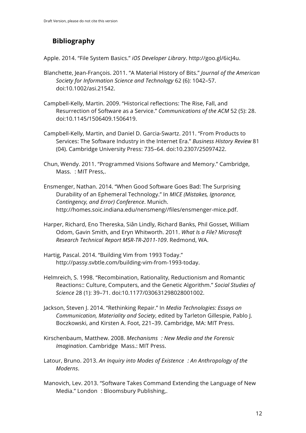## **Bibliography**

Apple. 2014. "File System Basics." *iOS Developer Library*. http://goo.gl/6icJ4u.

- Blanchette, Jean-François. 2011. "A Material History of Bits." *Journal of the American Society for Information Science and Technology* 62 (6): 1042–57. doi:10.1002/asi.21542.
- Campbell-Kelly, Martin. 2009. "Historical reflections: The Rise, Fall, and Resurrection of Software as a Service." *Communications of the ACM* 52 (5): 28. doi:10.1145/1506409.1506419.
- Campbell-Kelly, Martin, and Daniel D. Garcia-Swartz. 2011. "From Products to Services: The Software Industry in the Internet Era." *Business History Review* 81 (04). Cambridge University Press: 735–64. doi:10.2307/25097422.
- Chun, Wendy. 2011. "Programmed Visions Software and Memory." Cambridge, Mass.: MIT Press,.
- Ensmenger, Nathan. 2014. "When Good Software Goes Bad: The Surprising Durability of an Ephemeral Technology." In *MICE (Mistakes, Ignorance, Contingency, and Error) Conference*. Munich. http://homes.soic.indiana.edu/nensmeng//files/ensmenger-mice.pdf.
- Harper, Richard, Eno Thereska, Siân Lindly, Richard Banks, Phil Gosset, William Odom, Gavin Smith, and Eryn Whitworth. 2011. *What Is a File? Microsoft Research Technical Report MSR-TR-2011-109*. Redmond, WA.
- Hartig, Pascal. 2014. "Building Vim from 1993 Today." http://passy.svbtle.com/building-vim-from-1993-today.
- Helmreich, S. 1998. "Recombination, Rationality, Reductionism and Romantic Reactions:: Culture, Computers, and the Genetic Algorithm." *Social Studies of Science* 28 (1): 39–71. doi:10.1177/030631298028001002.
- Jackson, Steven J. 2014. "Rethinking Repair." In *Media Technologies: Essays on Communication, Materiality and Society*, edited by Tarleton Gillespie, Pablo J. Boczkowski, and Kirsten A. Foot, 221–39. Cambridge, MA: MIT Press.
- Kirschenbaum, Matthew. 2008. *Mechanisms: New Media and the Forensic Imagination*. Cambridge Mass.: MIT Press.
- Latour, Bruno. 2013. *An Inquiry into Modes of Existence: An Anthropology of the Moderns*.
- Manovich, Lev. 2013. "Software Takes Command Extending the Language of New Media." London: Bloomsbury Publishing,.